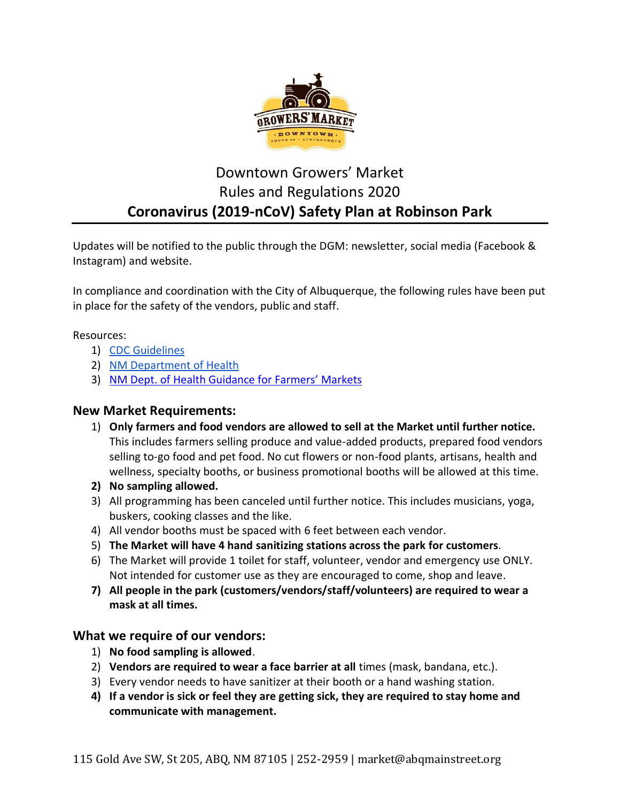

# Downtown Growers' Market Rules and Regulations 2020 **Coronavirus (2019-nCoV) Safety Plan at Robinson Park**

Updates will be notified to the public through the DGM: newsletter, social media (Facebook & Instagram) and website.

In compliance and coordination with the City of Albuquerque, the following rules have been put in place for the safety of the vendors, public and staff.

### Resources:

- 1) [CDC Guidelines](https://www.cdc.gov/coronavirus/2019-ncov/index.html)
- 2) [NM Department of Health](https://cv.nmhealth.org/)
- 3) NM Dept. of [Health Guidance for Farmers' Markets](https://cv.nmhealth.org/covid-safe-practices/grocery-stores-and-farmers-markets/)

## **New Market Requirements:**

- 1) **Only farmers and food vendors are allowed to sell at the Market until further notice.** This includes farmers selling produce and value-added products, prepared food vendors selling to-go food and pet food. No cut flowers or non-food plants, artisans, health and wellness, specialty booths, or business promotional booths will be allowed at this time.
- **2) No sampling allowed.**
- 3) All programming has been canceled until further notice. This includes musicians, yoga, buskers, cooking classes and the like.
- 4) All vendor booths must be spaced with 6 feet between each vendor.
- 5) **The Market will have 4 hand sanitizing stations across the park for customers**.
- 6) The Market will provide 1 toilet for staff, volunteer, vendor and emergency use ONLY. Not intended for customer use as they are encouraged to come, shop and leave.
- **7) All people in the park (customers/vendors/staff/volunteers) are required to wear a mask at all times.**

## **What we require of our vendors:**

- 1) **No food sampling is allowed**.
- 2) **Vendors are required to wear a face barrier at all** times (mask, bandana, etc.).
- 3) Every vendor needs to have sanitizer at their booth or a hand washing station.
- **4) If a vendor is sick or feel they are getting sick, they are required to stay home and communicate with management.**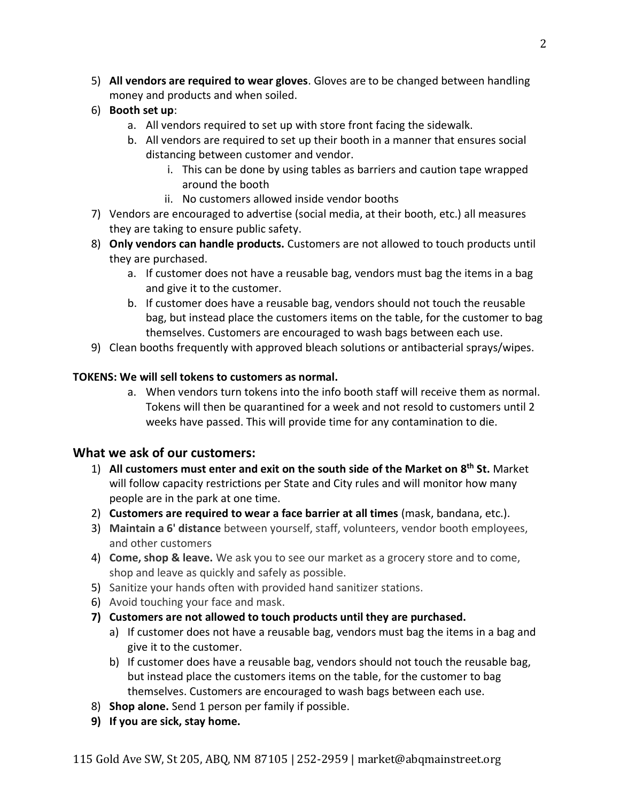- 5) **All vendors are required to wear gloves**. Gloves are to be changed between handling money and products and when soiled.
- 6) **Booth set up**:
	- a. All vendors required to set up with store front facing the sidewalk.
	- b. All vendors are required to set up their booth in a manner that ensures social distancing between customer and vendor.
		- i. This can be done by using tables as barriers and caution tape wrapped around the booth
		- ii. No customers allowed inside vendor booths
- 7) Vendors are encouraged to advertise (social media, at their booth, etc.) all measures they are taking to ensure public safety.
- 8) **Only vendors can handle products.** Customers are not allowed to touch products until they are purchased.
	- a. If customer does not have a reusable bag, vendors must bag the items in a bag and give it to the customer.
	- b. If customer does have a reusable bag, vendors should not touch the reusable bag, but instead place the customers items on the table, for the customer to bag themselves. Customers are encouraged to wash bags between each use.
- 9) Clean booths frequently with approved bleach solutions or antibacterial sprays/wipes.

## **TOKENS: We will sell tokens to customers as normal.**

a. When vendors turn tokens into the info booth staff will receive them as normal. Tokens will then be quarantined for a week and not resold to customers until 2 weeks have passed. This will provide time for any contamination to die.

## **What we ask of our customers:**

- 1) **All customers must enter and exit on the south side of the Market on 8th St.** Market will follow capacity restrictions per State and City rules and will monitor how many people are in the park at one time.
- 2) **Customers are required to wear a face barrier at all times** (mask, bandana, etc.).
- 3) **Maintain a 6' distance** between yourself, staff, volunteers, vendor booth employees, and other customers
- 4) **Come, shop & leave.** We ask you to see our market as a grocery store and to come, shop and leave as quickly and safely as possible.
- 5) Sanitize your hands often with provided hand sanitizer stations.
- 6) Avoid touching your face and mask.
- **7) Customers are not allowed to touch products until they are purchased.** 
	- a) If customer does not have a reusable bag, vendors must bag the items in a bag and give it to the customer.
	- b) If customer does have a reusable bag, vendors should not touch the reusable bag, but instead place the customers items on the table, for the customer to bag themselves. Customers are encouraged to wash bags between each use.
- 8) **Shop alone.** Send 1 person per family if possible.
- **9) If you are sick, stay home.**